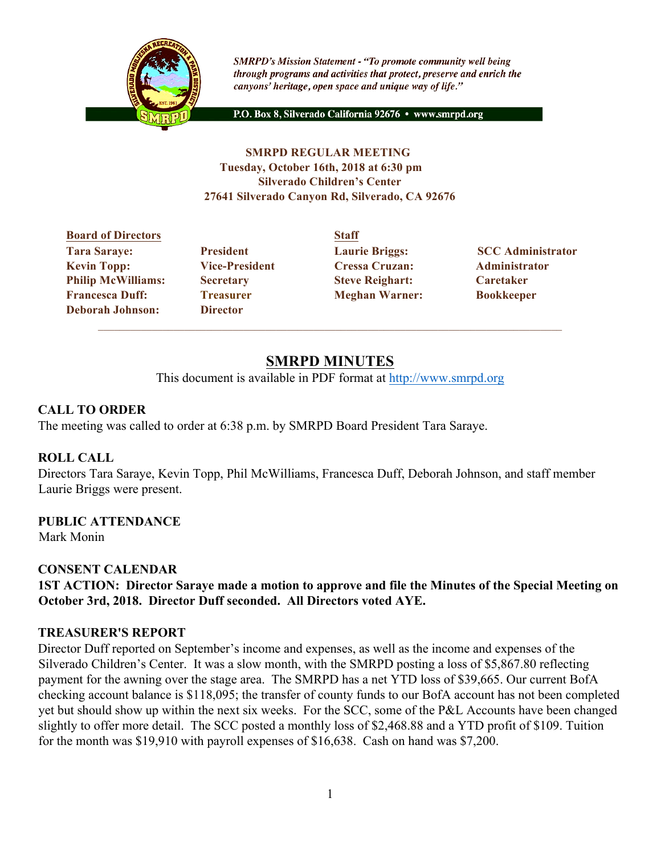

**SMRPD's Mission Statement - "To promote community well being** through programs and activities that protect, preserve and enrich the canyons' heritage, open space and unique way of life."

P.O. Box 8, Silverado California 92676 · www.smrpd.org

### **SMRPD REGULAR MEETING Tuesday, October 16th, 2018 at 6:30 pm Silverado Children's Center 27641 Silverado Canyon Rd, Silverado, CA 92676**

### **Board of Directors Staff Tara Saraye: President Laurie Briggs: SCC Administrator Kevin Topp: Vice-President Cressa Cruzan: Administrator Philip McWilliams: Secretary Steve Reighart: Caretaker Francesca Duff: Treasurer Meghan Warner: Bookkeeper Deborah Johnson: Director**

# **SMRPD MINUTES**

This document is available in PDF format at http://www.smrpd.org

## **CALL TO ORDER**

The meeting was called to order at 6:38 p.m. by SMRPD Board President Tara Saraye.

### **ROLL CALL**

Directors Tara Saraye, Kevin Topp, Phil McWilliams, Francesca Duff, Deborah Johnson, and staff member Laurie Briggs were present.

### **PUBLIC ATTENDANCE**

Mark Monin

### **CONSENT CALENDAR**

**1ST ACTION: Director Saraye made a motion to approve and file the Minutes of the Special Meeting on October 3rd, 2018. Director Duff seconded. All Directors voted AYE.**

### **TREASURER'S REPORT**

Director Duff reported on September's income and expenses, as well as the income and expenses of the Silverado Children's Center. It was a slow month, with the SMRPD posting a loss of \$5,867.80 reflecting payment for the awning over the stage area. The SMRPD has a net YTD loss of \$39,665. Our current BofA checking account balance is \$118,095; the transfer of county funds to our BofA account has not been completed yet but should show up within the next six weeks. For the SCC, some of the P&L Accounts have been changed slightly to offer more detail. The SCC posted a monthly loss of \$2,468.88 and a YTD profit of \$109. Tuition for the month was \$19,910 with payroll expenses of \$16,638. Cash on hand was \$7,200.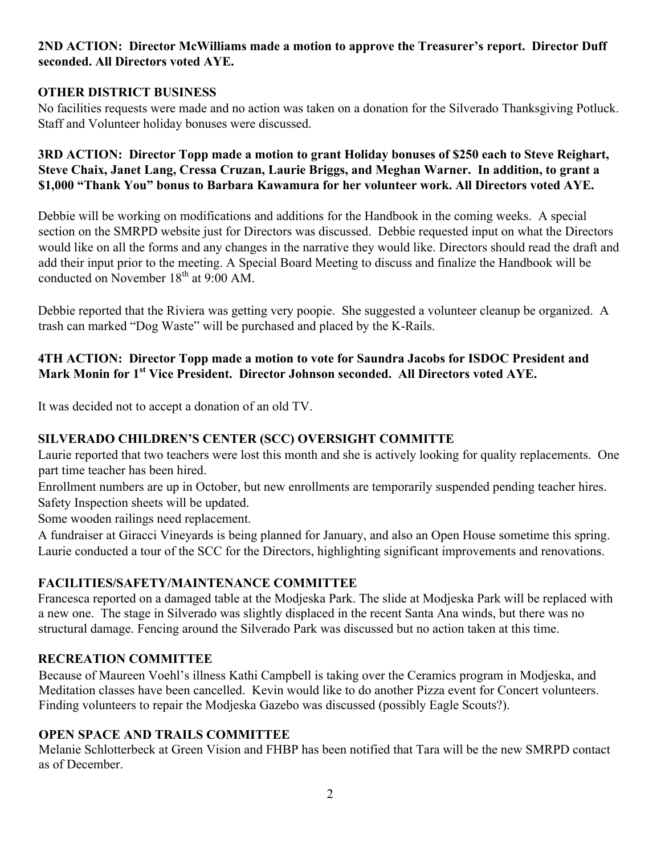### **2ND ACTION: Director McWilliams made a motion to approve the Treasurer's report. Director Duff seconded. All Directors voted AYE.**

### **OTHER DISTRICT BUSINESS**

No facilities requests were made and no action was taken on a donation for the Silverado Thanksgiving Potluck. Staff and Volunteer holiday bonuses were discussed.

**3RD ACTION: Director Topp made a motion to grant Holiday bonuses of \$250 each to Steve Reighart, Steve Chaix, Janet Lang, Cressa Cruzan, Laurie Briggs, and Meghan Warner. In addition, to grant a \$1,000 "Thank You" bonus to Barbara Kawamura for her volunteer work. All Directors voted AYE.**

Debbie will be working on modifications and additions for the Handbook in the coming weeks. A special section on the SMRPD website just for Directors was discussed. Debbie requested input on what the Directors would like on all the forms and any changes in the narrative they would like. Directors should read the draft and add their input prior to the meeting. A Special Board Meeting to discuss and finalize the Handbook will be conducted on November  $18<sup>th</sup>$  at 9:00 AM.

Debbie reported that the Riviera was getting very poopie. She suggested a volunteer cleanup be organized. A trash can marked "Dog Waste" will be purchased and placed by the K-Rails.

# **4TH ACTION: Director Topp made a motion to vote for Saundra Jacobs for ISDOC President and Mark Monin for 1st Vice President. Director Johnson seconded. All Directors voted AYE.**

It was decided not to accept a donation of an old TV.

# **SILVERADO CHILDREN'S CENTER (SCC) OVERSIGHT COMMITTE**

Laurie reported that two teachers were lost this month and she is actively looking for quality replacements. One part time teacher has been hired.

Enrollment numbers are up in October, but new enrollments are temporarily suspended pending teacher hires. Safety Inspection sheets will be updated.

Some wooden railings need replacement.

A fundraiser at Giracci Vineyards is being planned for January, and also an Open House sometime this spring. Laurie conducted a tour of the SCC for the Directors, highlighting significant improvements and renovations.

### **FACILITIES/SAFETY/MAINTENANCE COMMITTEE**

Francesca reported on a damaged table at the Modjeska Park. The slide at Modjeska Park will be replaced with a new one. The stage in Silverado was slightly displaced in the recent Santa Ana winds, but there was no structural damage. Fencing around the Silverado Park was discussed but no action taken at this time.

### **RECREATION COMMITTEE**

Because of Maureen Voehl's illness Kathi Campbell is taking over the Ceramics program in Modjeska, and Meditation classes have been cancelled. Kevin would like to do another Pizza event for Concert volunteers. Finding volunteers to repair the Modjeska Gazebo was discussed (possibly Eagle Scouts?).

### **OPEN SPACE AND TRAILS COMMITTEE**

Melanie Schlotterbeck at Green Vision and FHBP has been notified that Tara will be the new SMRPD contact as of December.